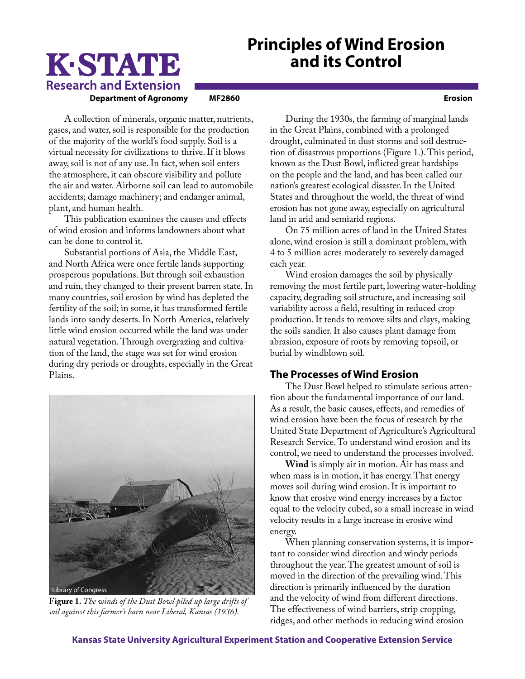## **Principles of Wind Erosion and its Control**

# K-STATE **Research and Extension**

**Department of Agronomy MF2860 Erosion**

A collection of minerals, organic matter, nutrients, gases, and water, soil is responsible for the production of the majority of the world's food supply. Soil is a virtual necessity for civilizations to thrive. If it blows away, soil is not of any use. In fact, when soil enters the atmosphere, it can obscure visibility and pollute the air and water. Airborne soil can lead to automobile accidents; damage machinery; and endanger animal, plant, and human health.

This publication examines the causes and effects of wind erosion and informs landowners about what can be done to control it.

Substantial portions of Asia, the Middle East, and North Africa were once fertile lands supporting prosperous populations. But through soil exhaustion and ruin, they changed to their present barren state. In many countries, soil erosion by wind has depleted the fertility of the soil; in some, it has transformed fertile lands into sandy deserts. In North America, relatively little wind erosion occurred while the land was under natural vegetation. Through overgrazing and cultivation of the land, the stage was set for wind erosion during dry periods or droughts, especially in the Great Plains.



**Figure 1.** *The winds of the Dust Bowl piled up large drifts of soil against this farmer's barn near Liberal, Kansas (1936).*

During the 1930s, the farming of marginal lands in the Great Plains, combined with a prolonged drought, culminated in dust storms and soil destruction of disastrous proportions (Figure 1.). This period, known as the Dust Bowl, inflicted great hardships on the people and the land, and has been called our nation's greatest ecological disaster. In the United States and throughout the world, the threat of wind erosion has not gone away, especially on agricultural land in arid and semiarid regions.

On 75 million acres of land in the United States alone, wind erosion is still a dominant problem, with 4 to 5 million acres moderately to severely damaged each year.

Wind erosion damages the soil by physically removing the most fertile part, lowering water-holding capacity, degrading soil structure, and increasing soil variability across a field, resulting in reduced crop production. It tends to remove silts and clays, making the soils sandier. It also causes plant damage from abrasion, exposure of roots by removing topsoil, or burial by windblown soil.

## **The Processes of Wind Erosion**

The Dust Bowl helped to stimulate serious attention about the fundamental importance of our land. As a result, the basic causes, effects, and remedies of wind erosion have been the focus of research by the United State Department of Agriculture's Agricultural Research Service. To understand wind erosion and its control, we need to understand the processes involved.

**Wind** is simply air in motion. Air has mass and when mass is in motion, it has energy. That energy moves soil during wind erosion. It is important to know that erosive wind energy increases by a factor equal to the velocity cubed, so a small increase in wind velocity results in a large increase in erosive wind energy.

When planning conservation systems, it is important to consider wind direction and windy periods throughout the year. The greatest amount of soil is moved in the direction of the prevailing wind. This direction is primarily influenced by the duration and the velocity of wind from different directions. The effectiveness of wind barriers, strip cropping, ridges, and other methods in reducing wind erosion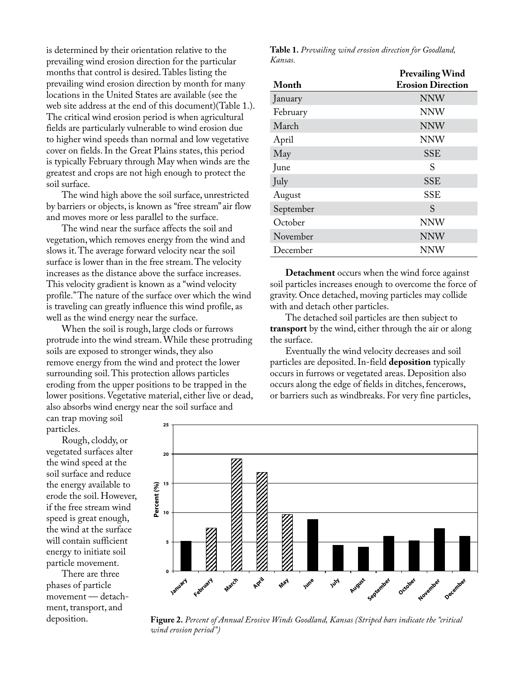is determined by their orientation relative to the prevailing wind erosion direction for the particular months that control is desired. Tables listing the prevailing wind erosion direction by month for many locations in the United States are available (see the web site address at the end of this document)(Table 1.). The critical wind erosion period is when agricultural fields are particularly vulnerable to wind erosion due to higher wind speeds than normal and low vegetative cover on fields. In the Great Plains states, this period is typically February through May when winds are the greatest and crops are not high enough to protect the soil surface.

The wind high above the soil surface, unrestricted by barriers or objects, is known as "free stream" air flow and moves more or less parallel to the surface.

The wind near the surface affects the soil and vegetation, which removes energy from the wind and slows it. The average forward velocity near the soil surface is lower than in the free stream. The velocity increases as the distance above the surface increases. This velocity gradient is known as a "wind velocity profile." The nature of the surface over which the wind is traveling can greatly influence this wind profile, as well as the wind energy near the surface.

When the soil is rough, large clods or furrows protrude into the wind stream. While these protruding soils are exposed to stronger winds, they also remove energy from the wind and protect the lower surrounding soil. This protection allows particles eroding from the upper positions to be trapped in the lower positions. Vegetative material, either live or dead, also absorbs wind energy near the soil surface and

can trap moving soil particles.

Rough, cloddy, or vegetated surfaces alter the wind speed at the soil surface and reduce the energy available to erode the soil. However, if the free stream wind speed is great enough, the wind at the surface will contain sufficient energy to initiate soil particle movement.

There are three phases of particle movement — detachment, transport, and deposition.

**Table 1.** *Prevailing wind erosion direction for Goodland, Kansas.*

|           | <b>Prevailing Wind</b>   |
|-----------|--------------------------|
| Month     | <b>Erosion Direction</b> |
| January   | <b>NNW</b>               |
| February  | <b>NNW</b>               |
| March     | <b>NNW</b>               |
| April     | <b>NNW</b>               |
| May       | <b>SSE</b>               |
| June      | S                        |
| July      | <b>SSE</b>               |
| August    | <b>SSE</b>               |
| September | S                        |
| October   | <b>NNW</b>               |
| November  | <b>NNW</b>               |
| December  | NNW                      |

**Detachment** occurs when the wind force against soil particles increases enough to overcome the force of gravity. Once detached, moving particles may collide with and detach other particles.

The detached soil particles are then subject to **transport** by the wind, either through the air or along the surface.

Eventually the wind velocity decreases and soil particles are deposited. In-field **deposition** typically occurs in furrows or vegetated areas. Deposition also occurs along the edge of fields in ditches, fencerows, or barriers such as windbreaks. For very fine particles,



**Figure 2.** *Percent of Annual Erosive Winds Goodland, Kansas (Striped bars indicate the "critical wind erosion period")*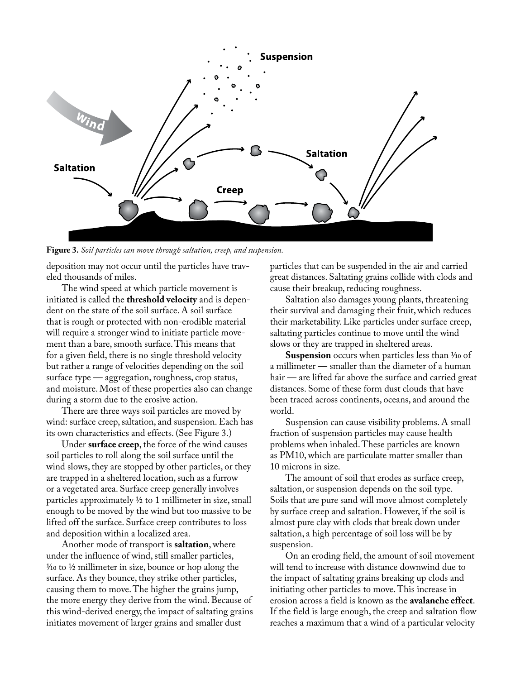

**Figure 3.** *Soil particles can move through saltation, creep, and suspension.*

deposition may not occur until the particles have traveled thousands of miles.

The wind speed at which particle movement is initiated is called the **threshold velocity** and is dependent on the state of the soil surface. A soil surface that is rough or protected with non-erodible material will require a stronger wind to initiate particle movement than a bare, smooth surface. This means that for a given field, there is no single threshold velocity but rather a range of velocities depending on the soil surface type — aggregation, roughness, crop status, and moisture. Most of these properties also can change during a storm due to the erosive action.

There are three ways soil particles are moved by wind: surface creep, saltation, and suspension. Each has its own characteristics and effects. (See Figure 3.)

Under **surface creep**, the force of the wind causes soil particles to roll along the soil surface until the wind slows, they are stopped by other particles, or they are trapped in a sheltered location, such as a furrow or a vegetated area. Surface creep generally involves particles approximately ½ to 1 millimeter in size, small enough to be moved by the wind but too massive to be lifted off the surface. Surface creep contributes to loss and deposition within a localized area.

Another mode of transport is **saltation**, where under the influence of wind, still smaller particles,  $\frac{1}{10}$  to  $\frac{1}{2}$  millimeter in size, bounce or hop along the surface. As they bounce, they strike other particles, causing them to move. The higher the grains jump, the more energy they derive from the wind. Because of this wind-derived energy, the impact of saltating grains initiates movement of larger grains and smaller dust

particles that can be suspended in the air and carried great distances. Saltating grains collide with clods and cause their breakup, reducing roughness.

Saltation also damages young plants, threatening their survival and damaging their fruit, which reduces their marketability. Like particles under surface creep, saltating particles continue to move until the wind slows or they are trapped in sheltered areas.

**Suspension** occurs when particles less than  $\frac{1}{10}$  of a millimeter — smaller than the diameter of a human hair — are lifted far above the surface and carried great distances. Some of these form dust clouds that have been traced across continents, oceans, and around the world.

Suspension can cause visibility problems. A small fraction of suspension particles may cause health problems when inhaled. These particles are known as PM10, which are particulate matter smaller than 10 microns in size.

The amount of soil that erodes as surface creep, saltation, or suspension depends on the soil type. Soils that are pure sand will move almost completely by surface creep and saltation. However, if the soil is almost pure clay with clods that break down under saltation, a high percentage of soil loss will be by suspension.

On an eroding field, the amount of soil movement will tend to increase with distance downwind due to the impact of saltating grains breaking up clods and initiating other particles to move. This increase in erosion across a field is known as the **avalanche effect**. If the field is large enough, the creep and saltation flow reaches a maximum that a wind of a particular velocity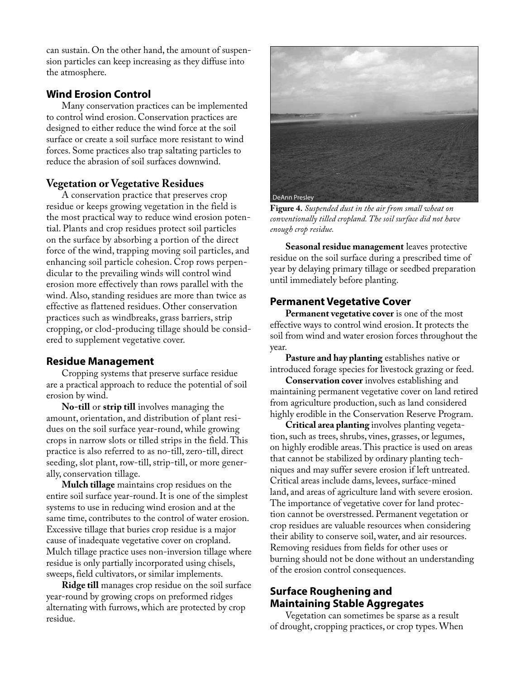can sustain. On the other hand, the amount of suspension particles can keep increasing as they diffuse into the atmosphere.

## **Wind Erosion Control**

Many conservation practices can be implemented to control wind erosion. Conservation practices are designed to either reduce the wind force at the soil surface or create a soil surface more resistant to wind forces. Some practices also trap saltating particles to reduce the abrasion of soil surfaces downwind.

## **Vegetation or Vegetative Residues**

A conservation practice that preserves crop residue or keeps growing vegetation in the field is the most practical way to reduce wind erosion potential. Plants and crop residues protect soil particles on the surface by absorbing a portion of the direct force of the wind, trapping moving soil particles, and enhancing soil particle cohesion. Crop rows perpendicular to the prevailing winds will control wind erosion more effectively than rows parallel with the wind. Also, standing residues are more than twice as effective as flattened residues. Other conservation practices such as windbreaks, grass barriers, strip cropping, or clod-producing tillage should be considered to supplement vegetative cover.

## **Residue Management**

Cropping systems that preserve surface residue are a practical approach to reduce the potential of soil erosion by wind.

**No-till** or **strip till** involves managing the amount, orientation, and distribution of plant residues on the soil surface year-round, while growing crops in narrow slots or tilled strips in the field. This practice is also referred to as no-till, zero-till, direct seeding, slot plant, row-till, strip-till, or more generally, conservation tillage.

**Mulch tillage** maintains crop residues on the entire soil surface year-round. It is one of the simplest systems to use in reducing wind erosion and at the same time, contributes to the control of water erosion. Excessive tillage that buries crop residue is a major cause of inadequate vegetative cover on cropland. Mulch tillage practice uses non-inversion tillage where residue is only partially incorporated using chisels, sweeps, field cultivators, or similar implements.

**Ridge till** manages crop residue on the soil surface year-round by growing crops on preformed ridges alternating with furrows, which are protected by crop residue.



**Figure 4.** *Suspended dust in the air from small wheat on conventionally tilled cropland. The soil surface did not have enough crop residue.*

**Seasonal residue management** leaves protective residue on the soil surface during a prescribed time of year by delaying primary tillage or seedbed preparation until immediately before planting.

## **Permanent Vegetative Cover**

**Permanent vegetative cover** is one of the most effective ways to control wind erosion. It protects the soil from wind and water erosion forces throughout the year.

**Pasture and hay planting** establishes native or introduced forage species for livestock grazing or feed.

**Conservation cover** involves establishing and maintaining permanent vegetative cover on land retired from agriculture production, such as land considered highly erodible in the Conservation Reserve Program.

**Critical area planting** involves planting vegetation, such as trees, shrubs, vines, grasses, or legumes, on highly erodible areas. This practice is used on areas that cannot be stabilized by ordinary planting techniques and may suffer severe erosion if left untreated. Critical areas include dams, levees, surface-mined land, and areas of agriculture land with severe erosion. The importance of vegetative cover for land protection cannot be overstressed. Permanent vegetation or crop residues are valuable resources when considering their ability to conserve soil, water, and air resources. Removing residues from fields for other uses or burning should not be done without an understanding of the erosion control consequences.

## **Surface Roughening and Maintaining Stable Aggregates**

Vegetation can sometimes be sparse as a result of drought, cropping practices, or crop types. When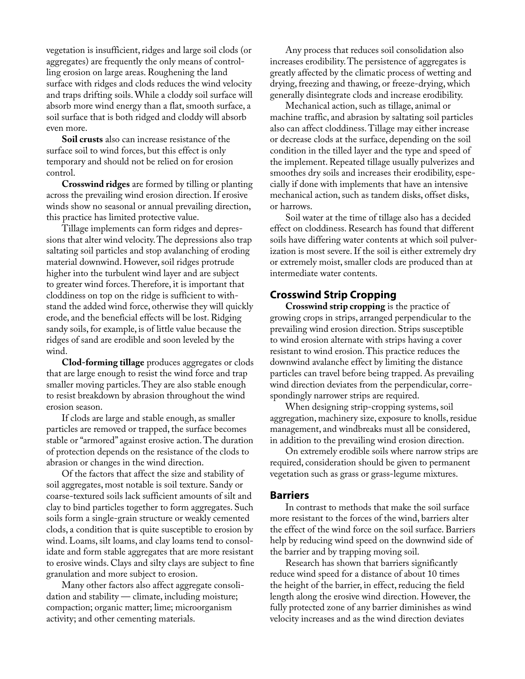vegetation is insufficient, ridges and large soil clods (or aggregates) are frequently the only means of controlling erosion on large areas. Roughening the land surface with ridges and clods reduces the wind velocity and traps drifting soils. While a cloddy soil surface will absorb more wind energy than a flat, smooth surface, a soil surface that is both ridged and cloddy will absorb even more.

**Soil crusts** also can increase resistance of the surface soil to wind forces, but this effect is only temporary and should not be relied on for erosion control.

**Crosswind ridges** are formed by tilling or planting across the prevailing wind erosion direction. If erosive winds show no seasonal or annual prevailing direction, this practice has limited protective value.

Tillage implements can form ridges and depressions that alter wind velocity. The depressions also trap saltating soil particles and stop avalanching of eroding material downwind. However, soil ridges protrude higher into the turbulent wind layer and are subject to greater wind forces. Therefore, it is important that cloddiness on top on the ridge is sufficient to withstand the added wind force, otherwise they will quickly erode, and the beneficial effects will be lost. Ridging sandy soils, for example, is of little value because the ridges of sand are erodible and soon leveled by the wind.

**Clod-forming tillage** produces aggregates or clods that are large enough to resist the wind force and trap smaller moving particles. They are also stable enough to resist breakdown by abrasion throughout the wind erosion season.

If clods are large and stable enough, as smaller particles are removed or trapped, the surface becomes stable or "armored" against erosive action. The duration of protection depends on the resistance of the clods to abrasion or changes in the wind direction.

Of the factors that affect the size and stability of soil aggregates, most notable is soil texture. Sandy or coarse-textured soils lack sufficient amounts of silt and clay to bind particles together to form aggregates. Such soils form a single-grain structure or weakly cemented clods, a condition that is quite susceptible to erosion by wind. Loams, silt loams, and clay loams tend to consolidate and form stable aggregates that are more resistant to erosive winds. Clays and silty clays are subject to fine granulation and more subject to erosion.

Many other factors also affect aggregate consolidation and stability — climate, including moisture; compaction; organic matter; lime; microorganism activity; and other cementing materials.

Any process that reduces soil consolidation also increases erodibility. The persistence of aggregates is greatly affected by the climatic process of wetting and drying, freezing and thawing, or freeze-drying, which generally disintegrate clods and increase erodibility.

Mechanical action, such as tillage, animal or machine traffic, and abrasion by saltating soil particles also can affect cloddiness. Tillage may either increase or decrease clods at the surface, depending on the soil condition in the tilled layer and the type and speed of the implement. Repeated tillage usually pulverizes and smoothes dry soils and increases their erodibility, especially if done with implements that have an intensive mechanical action, such as tandem disks, offset disks, or harrows.

Soil water at the time of tillage also has a decided effect on cloddiness. Research has found that different soils have differing water contents at which soil pulverization is most severe. If the soil is either extremely dry or extremely moist, smaller clods are produced than at intermediate water contents.

## **Crosswind Strip Cropping**

**Crosswind strip cropping** is the practice of growing crops in strips, arranged perpendicular to the prevailing wind erosion direction. Strips susceptible to wind erosion alternate with strips having a cover resistant to wind erosion. This practice reduces the downwind avalanche effect by limiting the distance particles can travel before being trapped. As prevailing wind direction deviates from the perpendicular, correspondingly narrower strips are required.

When designing strip-cropping systems, soil aggregation, machinery size, exposure to knolls, residue management, and windbreaks must all be considered, in addition to the prevailing wind erosion direction.

On extremely erodible soils where narrow strips are required, consideration should be given to permanent vegetation such as grass or grass-legume mixtures.

#### **Barriers**

In contrast to methods that make the soil surface more resistant to the forces of the wind, barriers alter the effect of the wind force on the soil surface. Barriers help by reducing wind speed on the downwind side of the barrier and by trapping moving soil.

Research has shown that barriers significantly reduce wind speed for a distance of about 10 times the height of the barrier, in effect, reducing the field length along the erosive wind direction. However, the fully protected zone of any barrier diminishes as wind velocity increases and as the wind direction deviates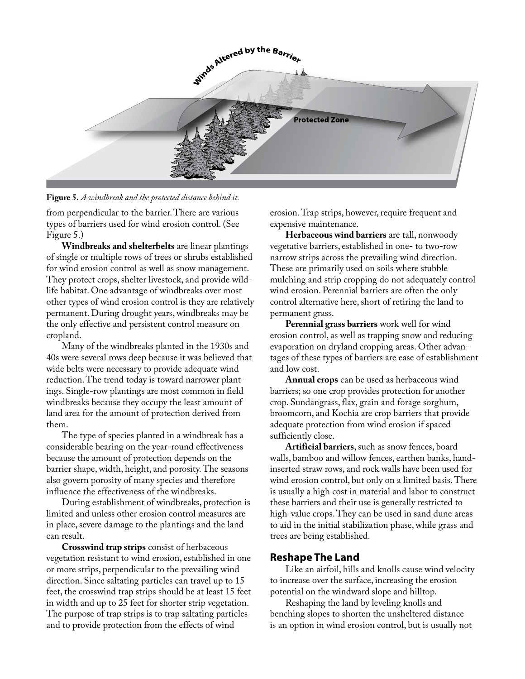

**Figure 5.** *A windbreak and the protected distance behind it.*

from perpendicular to the barrier. There are various types of barriers used for wind erosion control. (See Figure 5.)

**Windbreaks and shelterbelts** are linear plantings of single or multiple rows of trees or shrubs established for wind erosion control as well as snow management. They protect crops, shelter livestock, and provide wildlife habitat. One advantage of windbreaks over most other types of wind erosion control is they are relatively permanent. During drought years, windbreaks may be the only effective and persistent control measure on cropland.

Many of the windbreaks planted in the 1930s and 40s were several rows deep because it was believed that wide belts were necessary to provide adequate wind reduction. The trend today is toward narrower plantings. Single-row plantings are most common in field windbreaks because they occupy the least amount of land area for the amount of protection derived from them.

The type of species planted in a windbreak has a considerable bearing on the year-round effectiveness because the amount of protection depends on the barrier shape, width, height, and porosity. The seasons also govern porosity of many species and therefore influence the effectiveness of the windbreaks.

During establishment of windbreaks, protection is limited and unless other erosion control measures are in place, severe damage to the plantings and the land can result.

**Crosswind trap strips** consist of herbaceous vegetation resistant to wind erosion, established in one or more strips, perpendicular to the prevailing wind direction. Since saltating particles can travel up to 15 feet, the crosswind trap strips should be at least 15 feet in width and up to 25 feet for shorter strip vegetation. The purpose of trap strips is to trap saltating particles and to provide protection from the effects of wind

erosion. Trap strips, however, require frequent and expensive maintenance.

**Herbaceous wind barriers** are tall, nonwoody vegetative barriers, established in one- to two-row narrow strips across the prevailing wind direction. These are primarily used on soils where stubble mulching and strip cropping do not adequately control wind erosion. Perennial barriers are often the only control alternative here, short of retiring the land to permanent grass.

**Perennial grass barriers** work well for wind erosion control, as well as trapping snow and reducing evaporation on dryland cropping areas. Other advantages of these types of barriers are ease of establishment and low cost.

**Annual crops** can be used as herbaceous wind barriers; so one crop provides protection for another crop. Sundangrass, flax, grain and forage sorghum, broomcorn, and Kochia are crop barriers that provide adequate protection from wind erosion if spaced sufficiently close.

**Artificial barriers**, such as snow fences, board walls, bamboo and willow fences, earthen banks, handinserted straw rows, and rock walls have been used for wind erosion control, but only on a limited basis. There is usually a high cost in material and labor to construct these barriers and their use is generally restricted to high-value crops. They can be used in sand dune areas to aid in the initial stabilization phase, while grass and trees are being established.

## **Reshape The Land**

Like an airfoil, hills and knolls cause wind velocity to increase over the surface, increasing the erosion potential on the windward slope and hilltop.

Reshaping the land by leveling knolls and benching slopes to shorten the unsheltered distance is an option in wind erosion control, but is usually not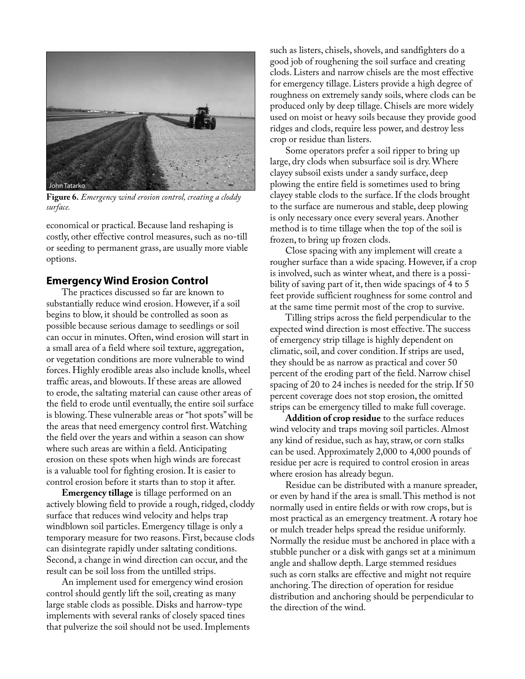

**Figure 6.** *Emergency wind erosion control, creating a cloddy surface.*

economical or practical. Because land reshaping is costly, other effective control measures, such as no-till or seeding to permanent grass, are usually more viable options.

#### **Emergency Wind Erosion Control**

The practices discussed so far are known to substantially reduce wind erosion. However, if a soil begins to blow, it should be controlled as soon as possible because serious damage to seedlings or soil can occur in minutes. Often, wind erosion will start in a small area of a field where soil texture, aggregation, or vegetation conditions are more vulnerable to wind forces. Highly erodible areas also include knolls, wheel traffic areas, and blowouts. If these areas are allowed to erode, the saltating material can cause other areas of the field to erode until eventually, the entire soil surface is blowing. These vulnerable areas or "hot spots" will be the areas that need emergency control first. Watching the field over the years and within a season can show where such areas are within a field. Anticipating erosion on these spots when high winds are forecast is a valuable tool for fighting erosion. It is easier to control erosion before it starts than to stop it after.

**Emergency tillage** is tillage performed on an actively blowing field to provide a rough, ridged, cloddy surface that reduces wind velocity and helps trap windblown soil particles. Emergency tillage is only a temporary measure for two reasons. First, because clods can disintegrate rapidly under saltating conditions. Second, a change in wind direction can occur, and the result can be soil loss from the untilled strips.

An implement used for emergency wind erosion control should gently lift the soil, creating as many large stable clods as possible. Disks and harrow-type implements with several ranks of closely spaced tines that pulverize the soil should not be used. Implements such as listers, chisels, shovels, and sandfighters do a good job of roughening the soil surface and creating clods. Listers and narrow chisels are the most effective for emergency tillage. Listers provide a high degree of roughness on extremely sandy soils, where clods can be produced only by deep tillage. Chisels are more widely used on moist or heavy soils because they provide good ridges and clods, require less power, and destroy less crop or residue than listers.

Some operators prefer a soil ripper to bring up large, dry clods when subsurface soil is dry. Where clayey subsoil exists under a sandy surface, deep plowing the entire field is sometimes used to bring clayey stable clods to the surface. If the clods brought to the surface are numerous and stable, deep plowing is only necessary once every several years. Another method is to time tillage when the top of the soil is frozen, to bring up frozen clods.

Close spacing with any implement will create a rougher surface than a wide spacing. However, if a crop is involved, such as winter wheat, and there is a possibility of saving part of it, then wide spacings of 4 to 5 feet provide sufficient roughness for some control and at the same time permit most of the crop to survive.

Tilling strips across the field perpendicular to the expected wind direction is most effective. The success of emergency strip tillage is highly dependent on climatic, soil, and cover condition. If strips are used, they should be as narrow as practical and cover 50 percent of the eroding part of the field. Narrow chisel spacing of 20 to 24 inches is needed for the strip. If 50 percent coverage does not stop erosion, the omitted strips can be emergency tilled to make full coverage.

**Addition of crop residue** to the surface reduces wind velocity and traps moving soil particles. Almost any kind of residue, such as hay, straw, or corn stalks can be used. Approximately 2,000 to 4,000 pounds of residue per acre is required to control erosion in areas where erosion has already begun.

Residue can be distributed with a manure spreader, or even by hand if the area is small. This method is not normally used in entire fields or with row crops, but is most practical as an emergency treatment. A rotary hoe or mulch treader helps spread the residue uniformly. Normally the residue must be anchored in place with a stubble puncher or a disk with gangs set at a minimum angle and shallow depth. Large stemmed residues such as corn stalks are effective and might not require anchoring. The direction of operation for residue distribution and anchoring should be perpendicular to the direction of the wind.